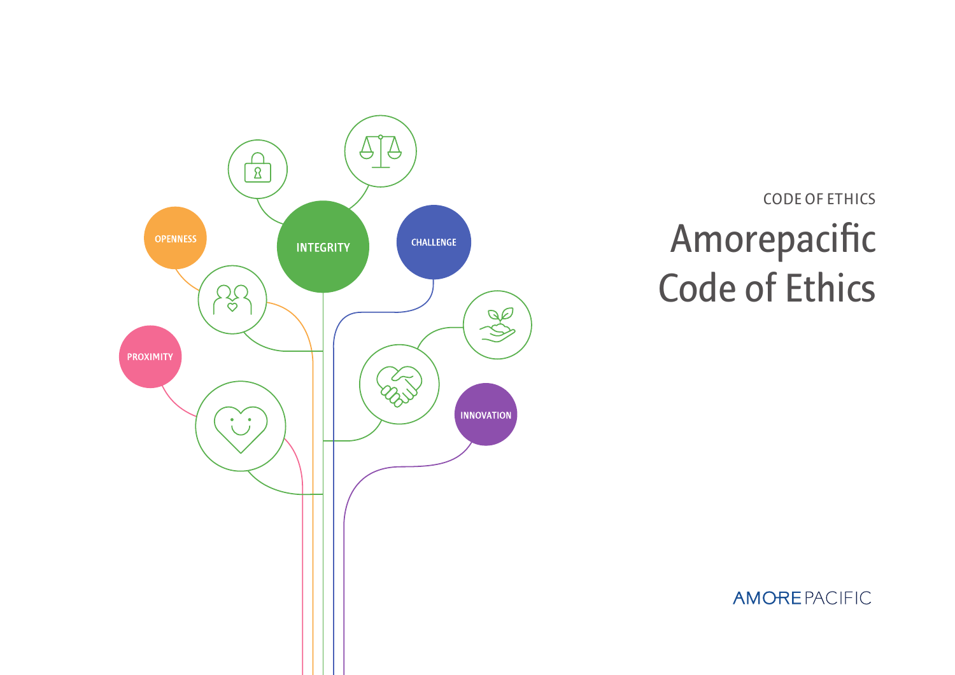

# **Amorepacific Code of Ethics Code of Ethics**

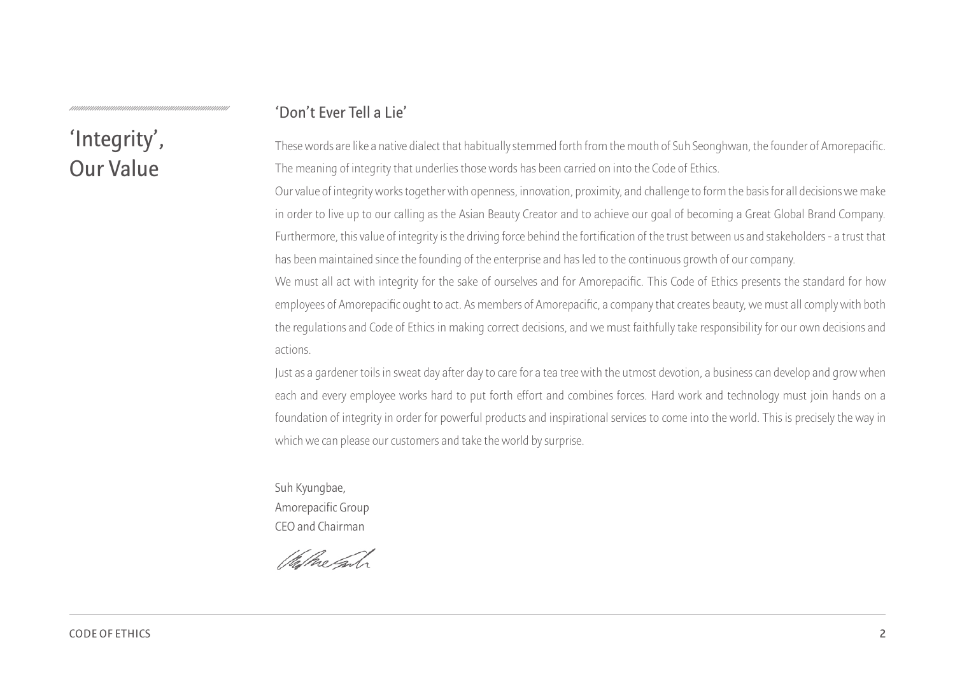#### **'Don't Ever Tell a Lie'**

## **'Integrity', Our Value**

These words are like a native dialect that habitually stemmed forth from the mouth of Suh Seonghwan, the founder of Amorepacific. The meaning of integrity that underlies those words has been carried on into the Code of Ethics.

Our value of integrity works together with openness, innovation, proximity, and challenge to form the basis for all decisions we make in order to live up to our calling as the Asian Beauty Creator and to achieve our goal of becoming a Great Global Brand Company. Furthermore, this value of integrity is the driving force behind the fortification of the trust between us and stakeholders - a trust that has been maintained since the founding of the enterprise and has led to the continuous growth of our company.

We must all act with integrity for the sake of ourselves and for Amorepacific. This Code of Ethics presents the standard for how employees of Amorepacific ought to act. As members of Amorepacific, a company that creates beauty, we must all comply with both the regulations and Code of Ethics in making correct decisions, and we must faithfully take responsibility for our own decisions and actions.

Just as a gardener toils in sweat day after day to care for a tea tree with the utmost devotion, a business can develop and grow when each and every employee works hard to put forth effort and combines forces. Hard work and technology must join hands on a foundation of integrity in order for powerful products and inspirational services to come into the world. This is precisely the way in which we can please our customers and take the world by surprise.

Suh Kyungbae, Amorepacific Group CEO and Chairman

Washe Gas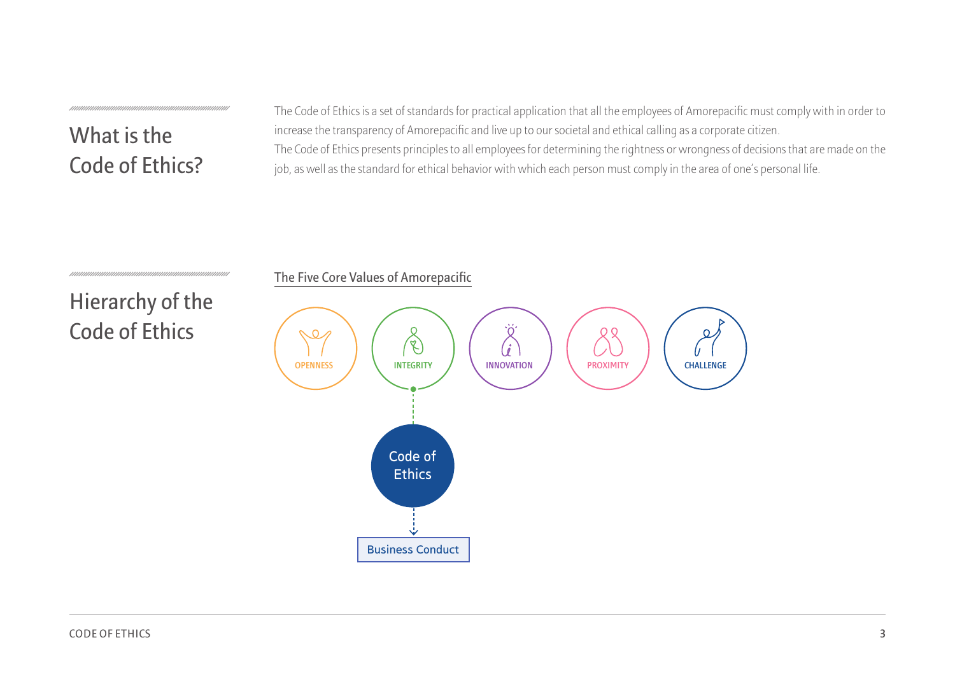**What is the Code of Ethics?** The Code of Ethics is a set of standards for practical application that all the employees of Amorepacific must comply with in order to increase the transparency of Amorepacific and live up to our societal and ethical calling as a corporate citizen. The Code of Ethics presents principles to all employees for determining the rightness or wrongness of decisions that are made on the job, as well as the standard for ethical behavior with which each person must comply in the area of one's personal life.

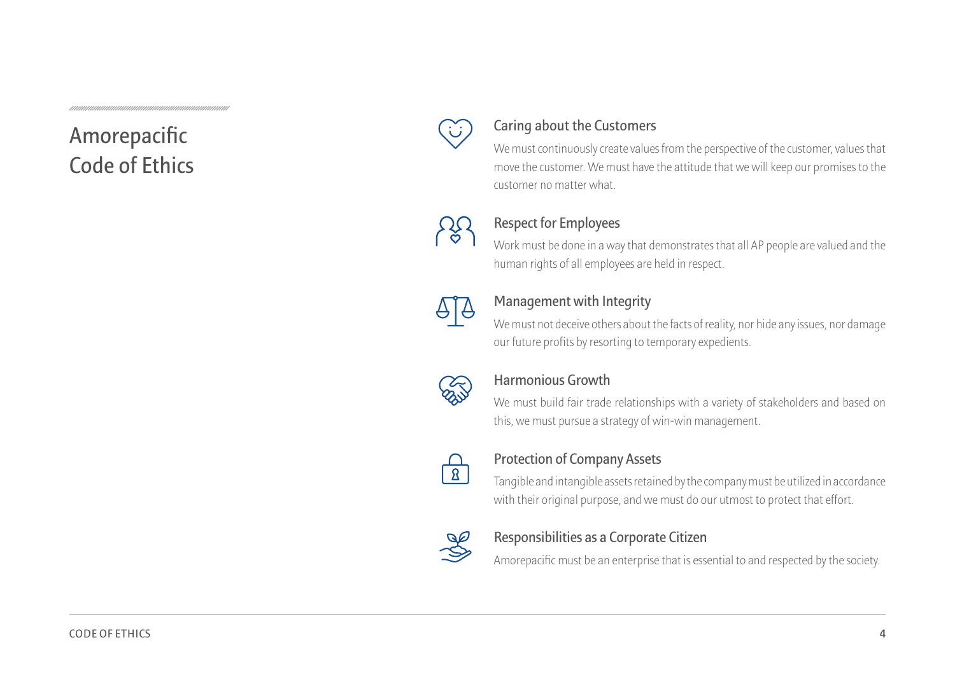## **Amorepacific Code of Ethics**



#### **Caring about the Customers**

We must continuously create values from the perspective of the customer, values that move the customer. We must have the attitude that we will keep our promises to the customer no matter what.



#### **Respect for Employees**

Work must be done in a way that demonstrates that all AP people are valued and the human rights of all employees are held in respect.



#### **Management with Integrity**

We must not deceive others about the facts of reality, nor hide any issues, nor damage our future profits by resorting to temporary expedients.



#### **Harmonious Growth**

We must build fair trade relationships with a variety of stakeholders and based on this, we must pursue a strategy of win-win management.



#### **Protection of Company Assets**

Tangible and intangible assets retained by the company must be utilized in accordance with their original purpose, and we must do our utmost to protect that effort.



#### **Responsibilities as a Corporate Citizen**

Amorepacific must be an enterprise that is essential to and respected by the society.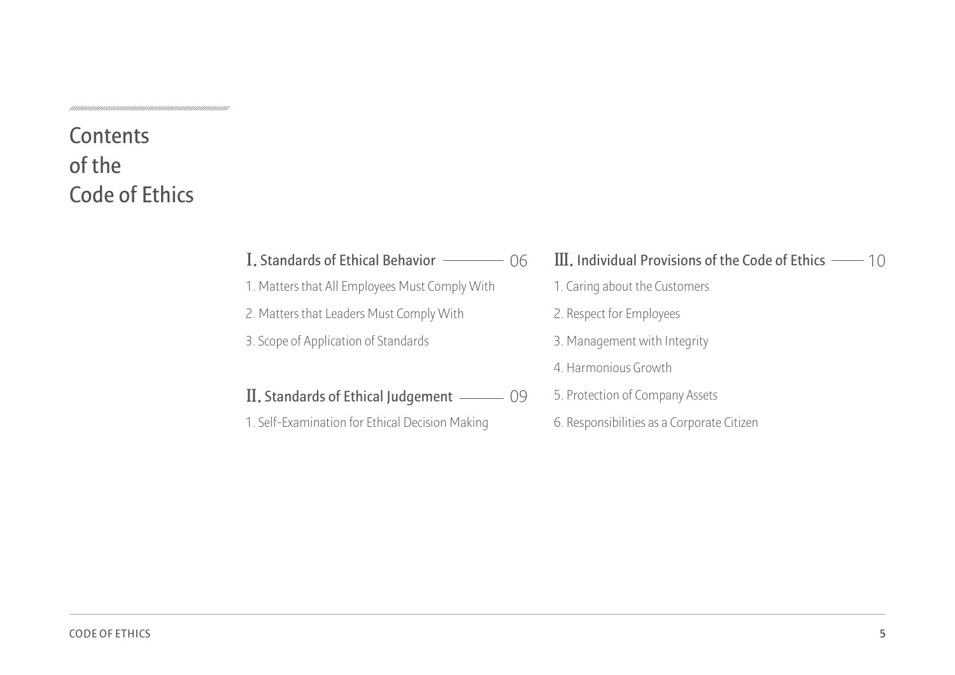## **Contents of the Code of Ethics**

#### I. Standards of Ethical Behavior –––––– 06

- 1. Matters that All Employees Must Comply With
- 2. Matters that Leaders Must Comply With
- 3. Scope of Application of Standards

### **Ⅱ. Standards of Ethical Judgement**  09

1. Self-Examination for Ethical Decision Making

#### **I.** Standards of Ethical Behavior  $\longrightarrow$  06 III. Individual Provisions of the Code of Ethics  $\longrightarrow$  10

- 1. Caring about the Customers
- 2. Respect for Employees
- 3. Management with Integrity
- 4. Harmonious Growth
- 5. Protection of Company Assets
- 6. Responsibilities as a Corporate Citizen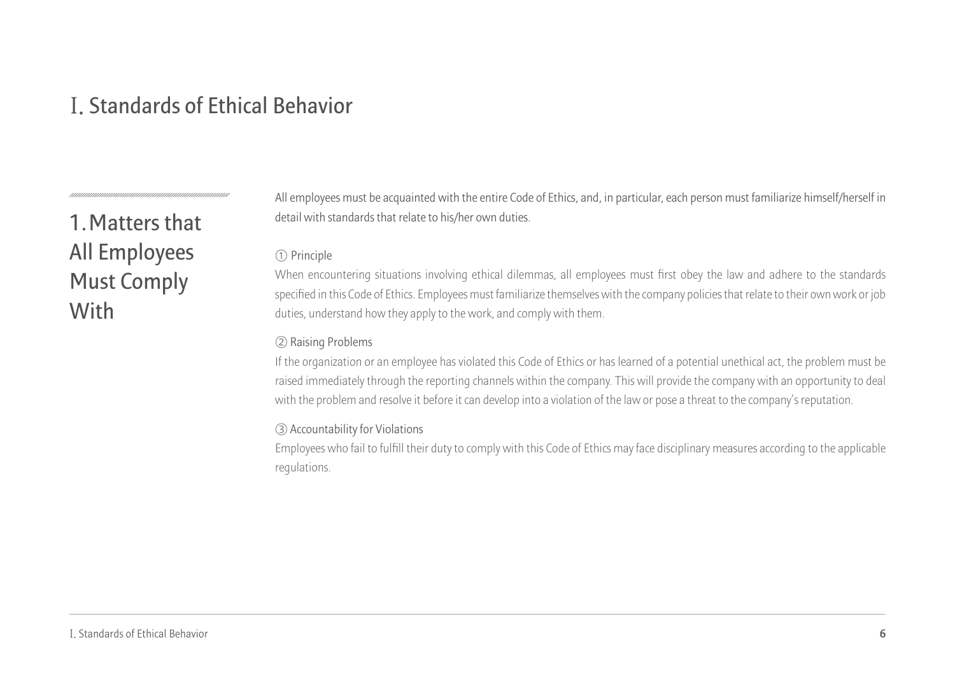## **Ⅰ. Standards of Ethical Behavior**

## **1.Matters that All Employees Must Comply With**

All employees must be acquainted with the entire Code of Ethics, and, in particular, each person must familiarize himself/herself in detail with standards that relate to his/her own duties.

#### ① Principle

When encountering situations involving ethical dilemmas, all employees must first obey the law and adhere to the standards specified in this Code of Ethics. Employees must familiarize themselves with the company policies that relate to their own work or job duties, understand how they apply to the work, and comply with them.

#### ② Raising Problems

If the organization or an employee has violated this Code of Ethics or has learned of a potential unethical act, the problem must be raised immediately through the reporting channels within the company. This will provide the company with an opportunity to deal with the problem and resolve it before it can develop into a violation of the law or pose a threat to the company's reputation.

#### ③ Accountability for Violations

Employees who fail to fulfill their duty to comply with this Code of Ethics may face disciplinary measures according to the applicable regulations.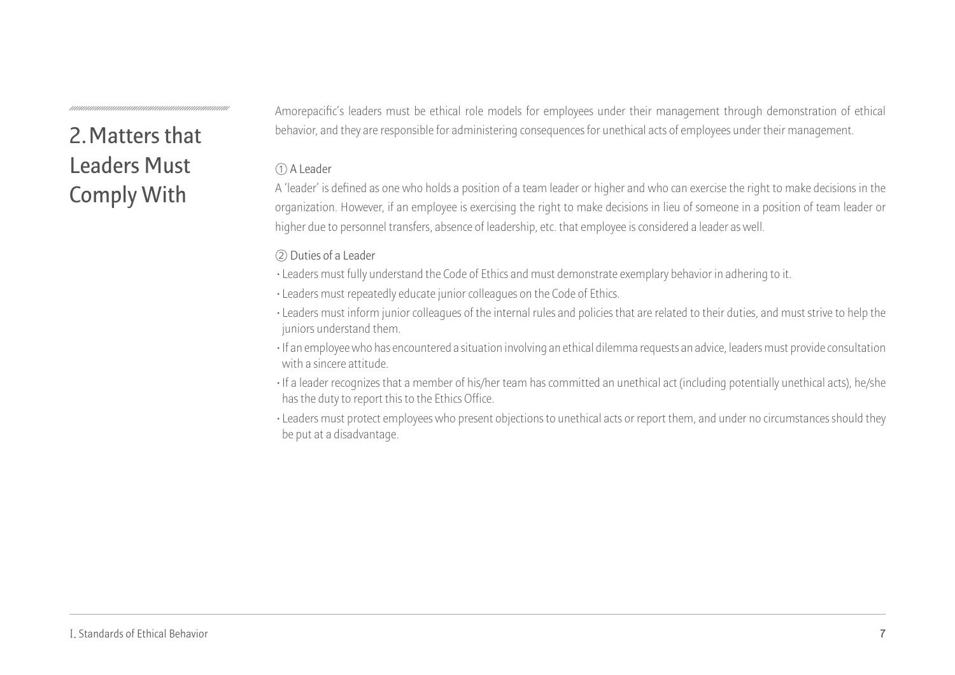## **2.Matters that Leaders Must Comply With**

Amorepacific's leaders must be ethical role models for employees under their management through demonstration of ethical behavior, and they are responsible for administering consequences for unethical acts of employees under their management.

#### ① A Leader

A 'leader' is defined as one who holds a position of a team leader or higher and who can exercise the right to make decisions in the organization. However, if an employee is exercising the right to make decisions in lieu of someone in a position of team leader or higher due to personnel transfers, absence of leadership, etc. that employee is considered a leader as well.

#### ② Duties of a Leader

- **·**Leaders must fully understand the Code of Ethics and must demonstrate exemplary behavior in adhering to it.
- **·**Leaders must repeatedly educate junior colleagues on the Code of Ethics.
- **·**Leaders must inform junior colleagues of the internal rules and policies that are related to their duties, and must strive to help the juniors understand them.
- **·**If an employee who has encountered a situation involving an ethical dilemma requests an advice, leaders must provide consultation with a sincere attitude.
- **·**If a leader recognizes that a member of his/her team has committed an unethical act (including potentially unethical acts), he/she has the duty to report this to the Ethics Office.
- **·**Leaders must protect employees who present objections to unethical acts or report them, and under no circumstances should they be put at a disadvantage.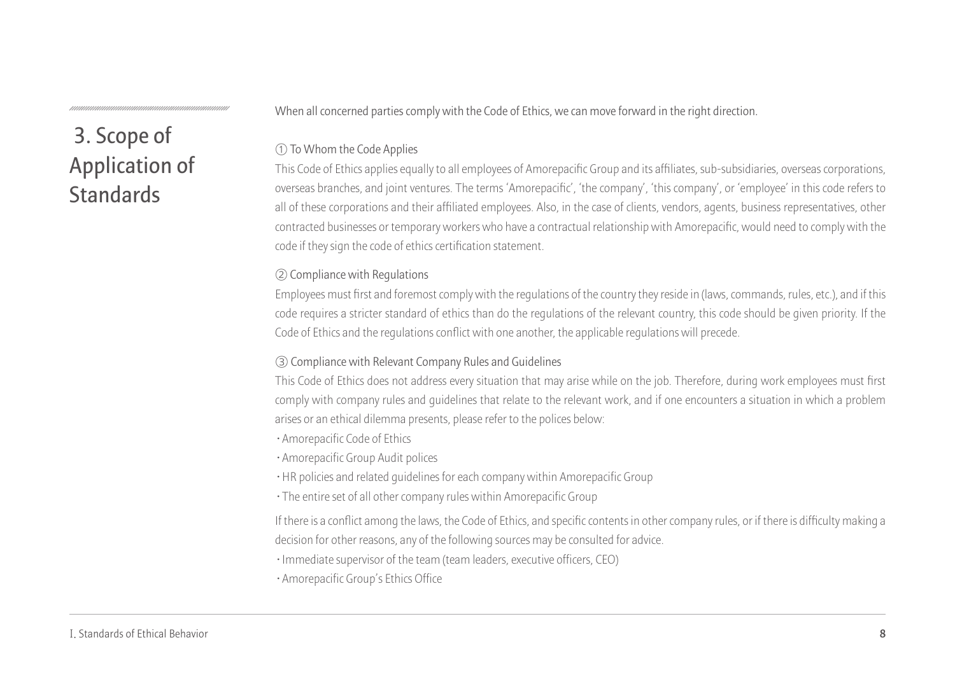## **3. Scope of Application of Standards**

When all concerned parties comply with the Code of Ethics, we can move forward in the right direction.

#### ① To Whom the Code Applies

This Code of Ethics applies equally to all employees of Amorepacific Group and its affiliates, sub-subsidiaries, overseas corporations, overseas branches, and joint ventures. The terms 'Amorepacific', 'the company', 'this company', or 'employee' in this code refers to all of these corporations and their affiliated employees. Also, in the case of clients, vendors, agents, business representatives, other contracted businesses or temporary workers who have a contractual relationship with Amorepacific, would need to comply with the code if they sign the code of ethics certification statement.

#### ② Compliance with Regulations

Employees must first and foremost comply with the regulations of the country they reside in (laws, commands, rules, etc.), and if this code requires a stricter standard of ethics than do the regulations of the relevant country, this code should be given priority. If the Code of Ethics and the regulations conflict with one another, the applicable regulations will precede.

#### ③ Compliance with Relevant Company Rules and Guidelines

This Code of Ethics does not address every situation that may arise while on the job. Therefore, during work employees must first comply with company rules and guidelines that relate to the relevant work, and if one encounters a situation in which a problem arises or an ethical dilemma presents, please refer to the polices below:

- **·**Amorepacific Code of Ethics
- **·**Amorepacific Group Audit polices
- **·**HR policies and related guidelines for each company within Amorepacific Group
- **·**The entire set of all other company rules within Amorepacific Group

If there is a conflict among the laws, the Code of Ethics, and specific contents in other company rules, or if there is difficulty making a decision for other reasons, any of the following sources may be consulted for advice.

- **·**Immediate supervisor of the team (team leaders, executive officers, CEO)
- **·**Amorepacific Group's Ethics Office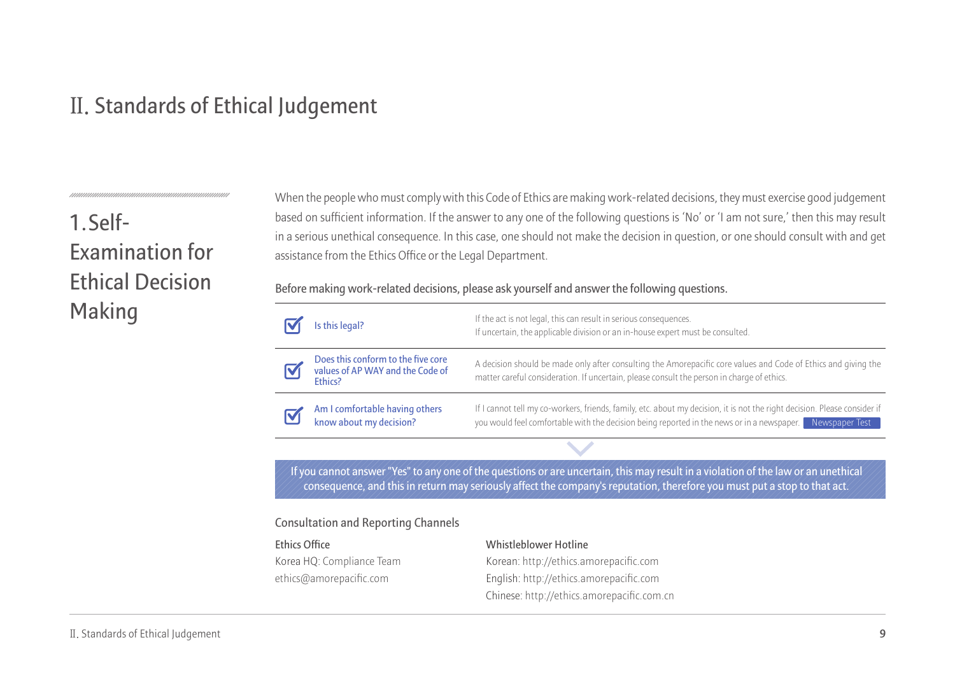## **Ⅱ. Standards of Ethical Judgement**

## **1. Self-Examination for Ethical Decision Making**

When the people who must comply with this Code of Ethics are making work-related decisions, they must exercise good judgement based on sufficient information. If the answer to any one of the following questions is 'No' or 'I am not sure,' then this may result in a serious unethical consequence. In this case, one should not make the decision in question, or one should consult with and get assistance from the Ethics Office or the Legal Department.

**Before making work-related decisions, please ask yourself and answer the following questions.**

|  | Is this legal?                                                                    | If the act is not legal, this can result in serious consequences.<br>If uncertain, the applicable division or an in-house expert must be consulted.                                                                                       |
|--|-----------------------------------------------------------------------------------|-------------------------------------------------------------------------------------------------------------------------------------------------------------------------------------------------------------------------------------------|
|  | Does this conform to the five core<br>values of AP WAY and the Code of<br>Ethics? | A decision should be made only after consulting the Amorepacific core values and Code of Ethics and giving the<br>matter careful consideration. If uncertain, please consult the person in charge of ethics.                              |
|  | Am I comfortable having others<br>know about my decision?                         | If I cannot tell my co-workers, friends, family, etc. about my decision, it is not the right decision. Please consider if<br>you would feel comfortable with the decision being reported in the news or in a newspaper.<br>Newspaper Test |
|  |                                                                                   |                                                                                                                                                                                                                                           |

**If you cannot answer "Yes" to any one of the questions or are uncertain, this may result in a violation of the law or an unethical consequence, and this in return may seriously affect the company's reputation, therefore you must put a stop to that act.**

#### **Consultation and Reporting Channels**

#### **Ethics Office**

Korea HQ: Compliance Team ethics@amorepacific.com

#### **Whistleblower Hotline**

Korean: http://ethics.amorepacific.com English: http://ethics.amorepacific.com Chinese: http://ethics.amorepacific.com.cn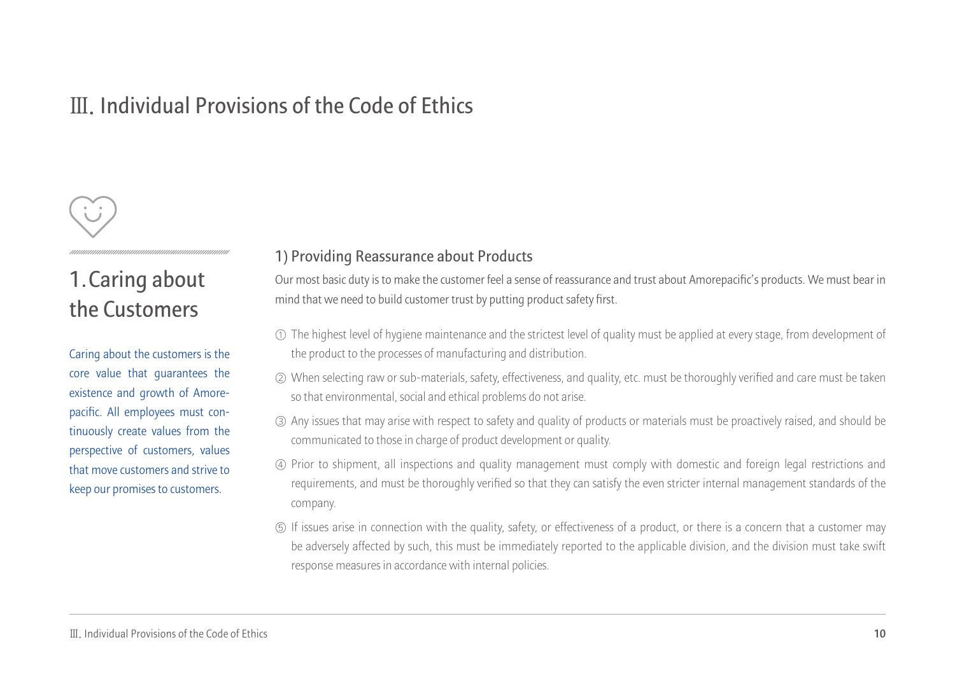## **Ⅲ. Individual Provisions of the Code of Ethics**



## **1.Caring about the Customers**

Caring about the customers is the core value that guarantees the existence and growth of Amorepacific. All employees must continuously create values from the perspective of customers, values that move customers and strive to keep our promises to customers.

#### **1) Providing Reassurance about Products**

Our most basic duty is to make the customer feel a sense of reassurance and trust about Amorepacific's products. We must bear in mind that we need to build customer trust by putting product safety first.

- $\mathbb O$  The highest level of hygiene maintenance and the strictest level of quality must be applied at every stage, from development of the product to the processes of manufacturing and distribution.
- When selecting raw or sub-materials, safety, effectiveness, and quality, etc. must be thoroughly verified and care must be taken ② so that environmental, social and ethical problems do not arise.
- Any issues that may arise with respect to safety and quality of products or materials must be proactively raised, and should be ③ communicated to those in charge of product development or quality.
- Prior to shipment, all inspections and quality management must comply with domestic and foreign legal restrictions and ④ requirements, and must be thoroughly verified so that they can satisfy the even stricter internal management standards of the company.
- If issues arise in connection with the quality, safety, or effectiveness of a product, or there is a concern that a customer may ⑤ be adversely affected by such, this must be immediately reported to the applicable division, and the division must take swift response measures in accordance with internal policies.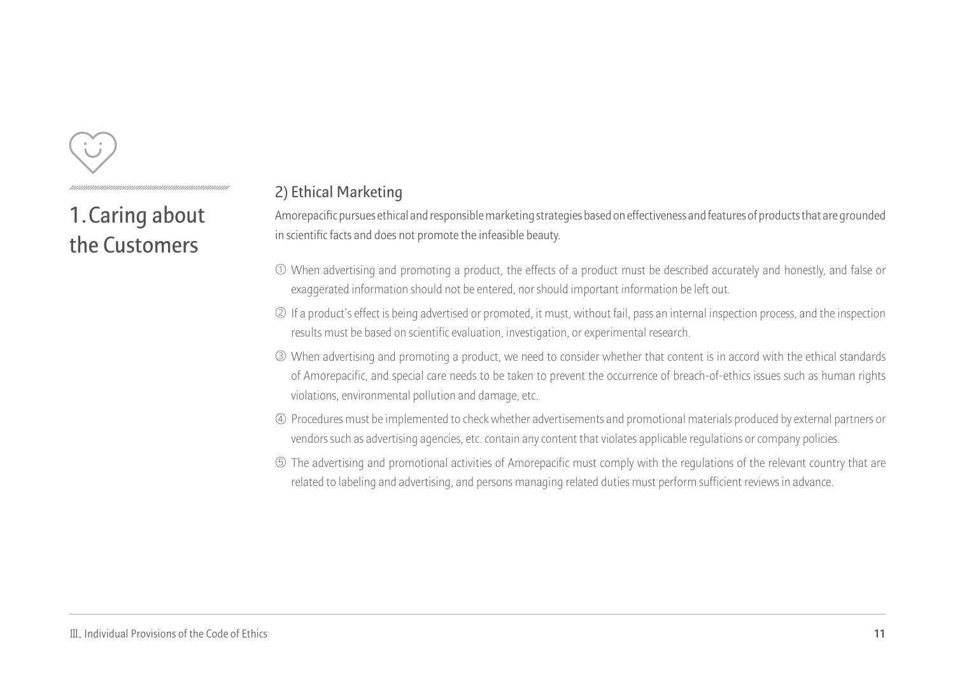

**1.Caring about the Customers**

#### **2) Ethical Marketing**

Amorepacific pursues ethical and responsible marketing strategies based on effectiveness and features of products that are grounded in scientific facts and does not promote the infeasible beauty.

- When advertising and promoting a product, the effects of a product must be described accurately and honestly, and false or ① exaggerated information should not be entered, nor should important information be left out.
- ② If a product's effect is being advertised or promoted, it must, without fail, pass an internal inspection process, and the inspection results must be based on scientific evaluation, investigation, or experimental research.
- When advertising and promoting a product, we need to consider whether that content is in accord with the ethical standards ③ of Amorepacific, and special care needs to be taken to prevent the occurrence of breach-of-ethics issues such as human rights violations, environmental pollution and damage, etc.
- Procedures must be implemented to check whether advertisements and promotional materials produced by external partners or ④ vendors such as advertising agencies, etc. contain any content that violates applicable regulations or company policies.
- The advertising and promotional activities of Amorepacific must comply with the regulations of the relevant country that are ⑤ related to labeling and advertising, and persons managing related duties must perform sufficient reviews in advance.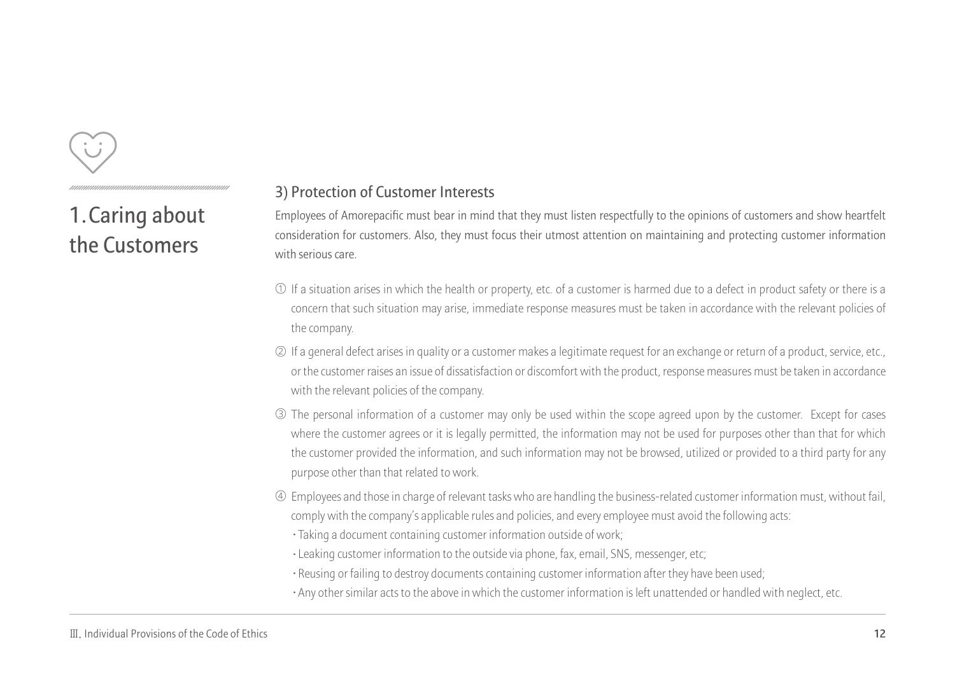

**1.Caring about the Customers**

#### **3) Protection of Customer Interests**

Employees of Amorepacific must bear in mind that they must listen respectfully to the opinions of customers and show heartfelt consideration for customers. Also, they must focus their utmost attention on maintaining and protecting customer information with serious care.

- $\mathbb U$  If a situation arises in which the health or property, etc. of a customer is harmed due to a defect in product safety or there is a  $\,$ concern that such situation may arise, immediate response measures must be taken in accordance with the relevant policies of the company.
- ② If a general defect arises in quality or a customer makes a legitimate request for an exchange or return of a product, service, etc., or the customer raises an issue of dissatisfaction or discomfort with the product, response measures must be taken in accordance with the relevant policies of the company.
- The personal information of a customer may only be used within the scope agreed upon by the customer. Except for cases ③ where the customer agrees or it is legally permitted, the information may not be used for purposes other than that for which the customer provided the information, and such information may not be browsed, utilized or provided to a third party for any purpose other than that related to work.
- Employees and those in charge of relevant tasks who are handling the business-related customer information must, without fail, ④ comply with the company's applicable rules and policies, and every employee must avoid the following acts:
	- **·**Taking a document containing customer information outside of work;
	- **·**Leaking customer information to the outside via phone, fax, email, SNS, messenger, etc;
	- **·**Reusing or failing to destroy documents containing customer information after they have been used;
	- **·**Any other similar acts to the above in which the customer information is left unattended or handled with neglect, etc.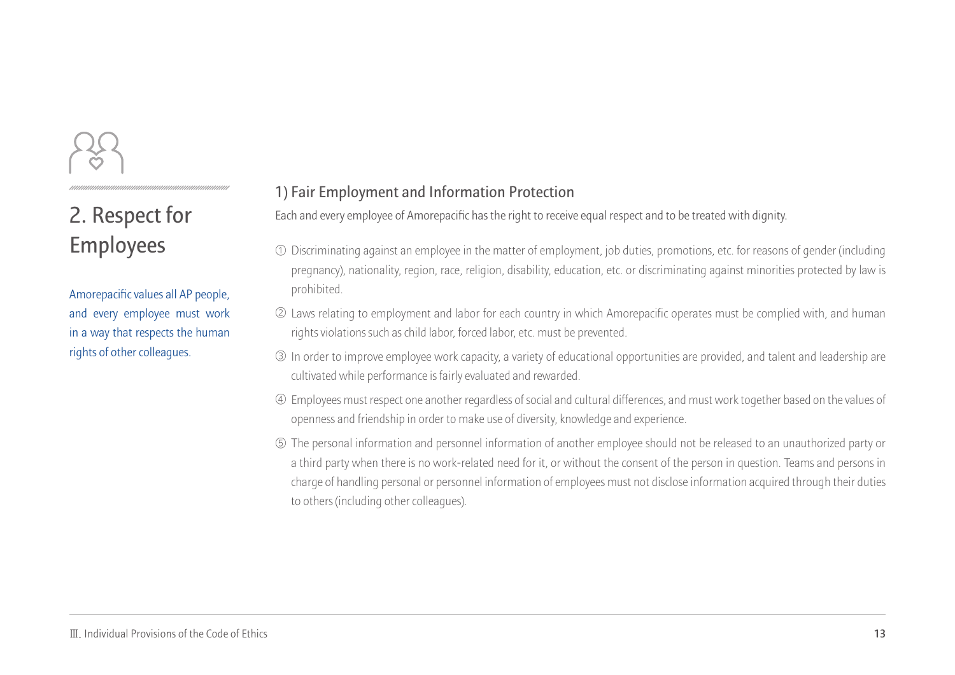## **2. Respect for Employees**

Amorepacific values all AP people, and every employee must work in a way that respects the human rights of other colleagues.

#### **1) Fair Employment and Information Protection**

Each and every employee of Amorepacific has the right to receive equal respect and to be treated with dignity.

- Discriminating against an employee in the matter of employment, job duties, promotions, etc. for reasons of gender (including ① pregnancy), nationality, region, race, religion, disability, education, etc. or discriminating against minorities protected by law is prohibited.
- Laws relating to employment and labor for each country in which Amorepacific operates must be complied with, and human ② rights violations such as child labor, forced labor, etc. must be prevented.
- In order to improve employee work capacity, a variety of educational opportunities are provided, and talent and leadership are ③ cultivated while performance is fairly evaluated and rewarded.
- Employees must respect one another regardless of social and cultural differences, and must work together based on the values of ④ openness and friendship in order to make use of diversity, knowledge and experience.
- The personal information and personnel information of another employee should not be released to an unauthorized party or ⑤ a third party when there is no work-related need for it, or without the consent of the person in question. Teams and persons in charge of handling personal or personnel information of employees must not disclose information acquired through their duties to others (including other colleagues).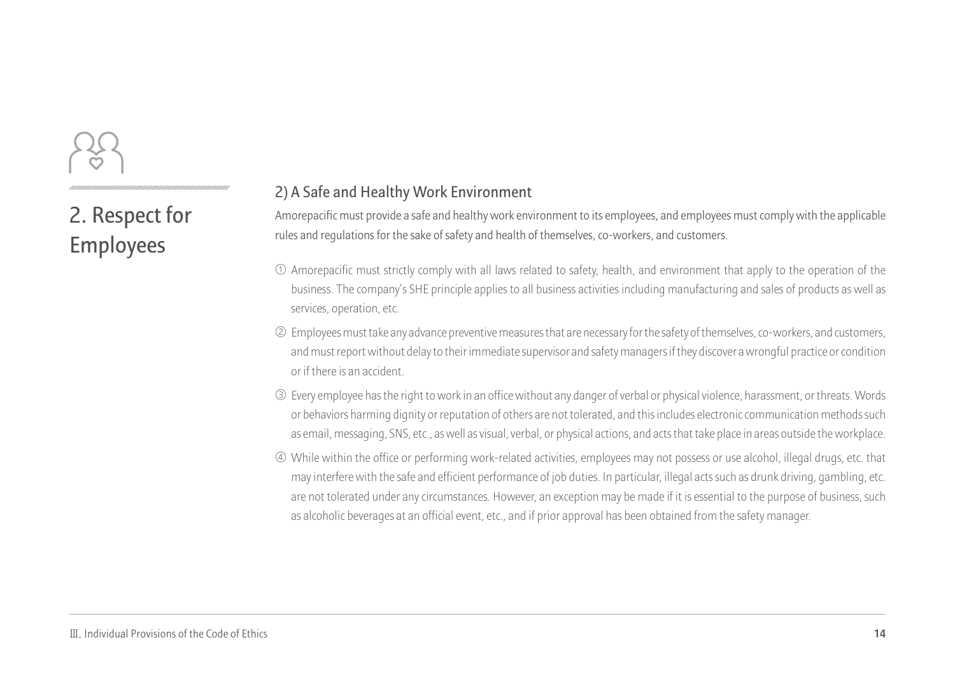**2. Respect for Employees** 

#### **2) A Safe and Healthy Work Environment**

Amorepacific must provide a safe and healthy work environment to its employees, and employees must comply with the applicable rules and regulations for the sake of safety and health of themselves, co-workers, and customers.

- $\mathbb O$  Amorepacific must strictly comply with all laws related to safety, health, and environment that apply to the operation of the business. The company's SHE principle applies to all business activities including manufacturing and sales of products as well as services, operation, etc.
- Employees must take any advance preventive measures that are necessary for the safety of themselves, co-workers, and customers, ② and must report without delay to their immediate supervisor and safety managers if they discover a wrongful practice or condition or if there is an accident.
- Every employee has the right to work in an office without any danger of verbal or physical violence, harassment, or threats. Words ③ or behaviors harming dignity or reputation of others are not tolerated, and this includes electronic communication methods such as email, messaging, SNS, etc., as well as visual, verbal, or physical actions, and acts that take place in areas outside the workplace.
- While within the office or performing work-related activities, employees may not possess or use alcohol, illegal drugs, etc. that ④ may interfere with the safe and efficient performance of job duties. In particular, illegal acts such as drunk driving, gambling, etc. are not tolerated under any circumstances. However, an exception may be made if it is essential to the purpose of business, such as alcoholic beverages at an official event, etc., and if prior approval has been obtained from the safety manager.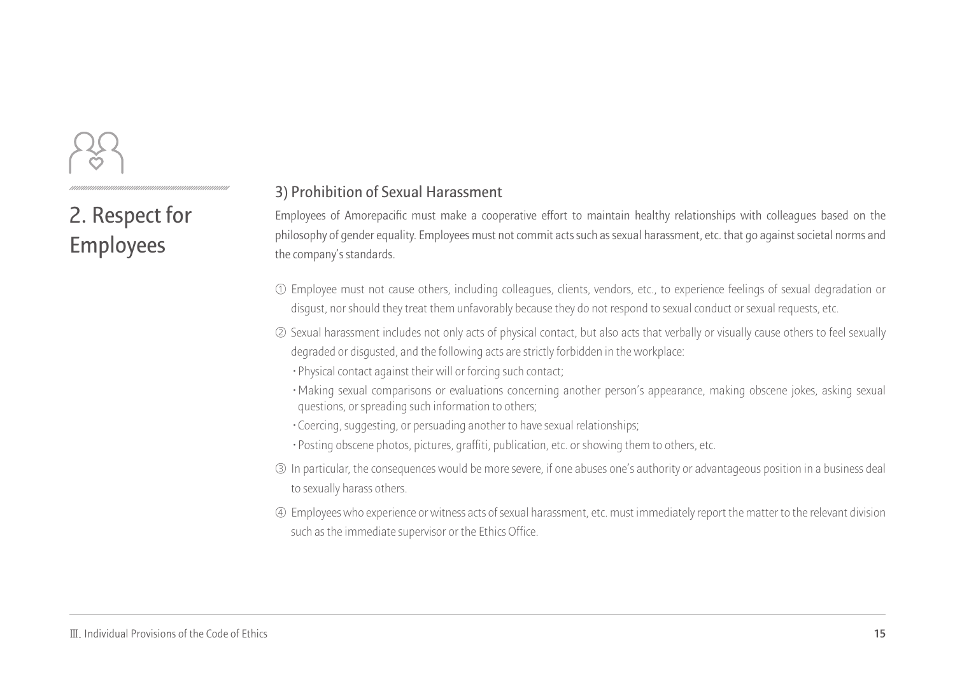**2. Respect for Employees** 

#### **3) Prohibition of Sexual Harassment**

Employees of Amorepacific must make a cooperative effort to maintain healthy relationships with colleagues based on the philosophy of gender equality. Employees must not commit acts such as sexual harassment, etc. that go against societal norms and the company's standards.

- Employee must not cause others, including colleagues, clients, vendors, etc., to experience feelings of sexual degradation or ① disgust, nor should they treat them unfavorably because they do not respond to sexual conduct or sexual requests, etc.
- $\oslash$  Sexual harassment includes not only acts of physical contact, but also acts that verbally or visually cause others to feel sexually degraded or disgusted, and the following acts are strictly forbidden in the workplace:
	- **·**Physical contact against their will or forcing such contact;
	- **·**Making sexual comparisons or evaluations concerning another person's appearance, making obscene jokes, asking sexual questions, or spreading such information to others;
	- **·**Coercing, suggesting, or persuading another to have sexual relationships;
	- **·**Posting obscene photos, pictures, graffiti, publication, etc. or showing them to others, etc.
- In particular, the consequences would be more severe, if one abuses one's authority or advantageous position in a business deal ③ to sexually harass others.
- Employees who experience or witness acts of sexual harassment, etc. must immediately report the matter to the relevant division ④ such as the immediate supervisor or the Ethics Office.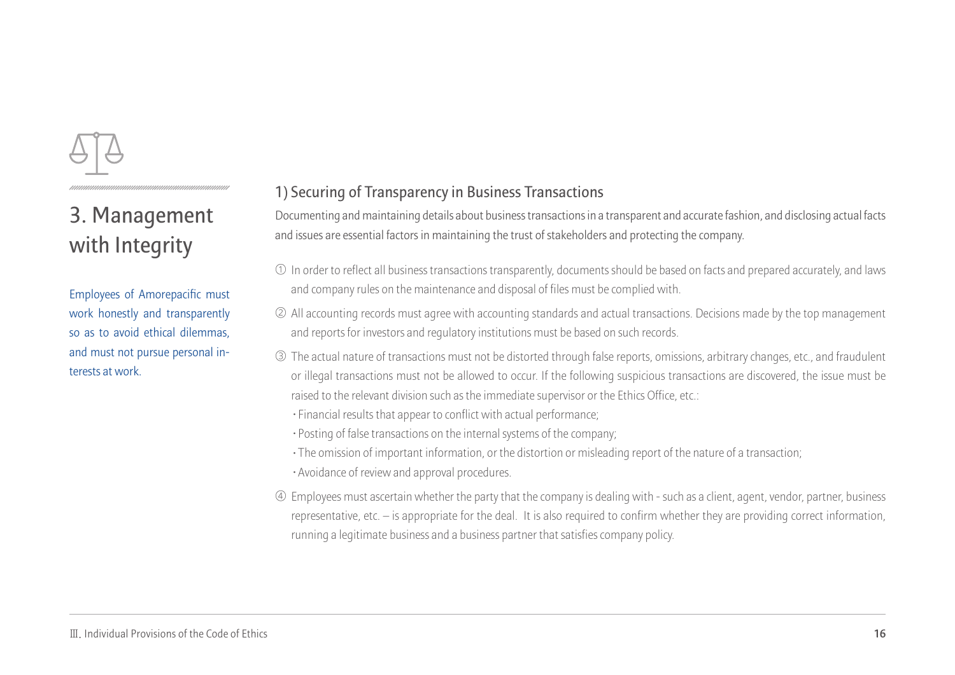

Employees of Amorepacific must work honestly and transparently so as to avoid ethical dilemmas, and must not pursue personal interests at work.

### **1) Securing of Transparency in Business Transactions**

Documenting and maintaining details about business transactions in a transparent and accurate fashion, and disclosing actual facts and issues are essential factors in maintaining the trust of stakeholders and protecting the company.

- $\mathbb O$  In order to reflect all business transactions transparently, documents should be based on facts and prepared accurately, and laws and company rules on the maintenance and disposal of files must be complied with.
- All accounting records must agree with accounting standards and actual transactions. Decisions made by the top management ② and reports for investors and regulatory institutions must be based on such records.
- The actual nature of transactions must not be distorted through false reports, omissions, arbitrary changes, etc., and fraudulent ③ or illegal transactions must not be allowed to occur. If the following suspicious transactions are discovered, the issue must be raised to the relevant division such as the immediate supervisor or the Ethics Office, etc.:
	- **·**Financial results that appear to conflict with actual performance;
	- **·**Posting of false transactions on the internal systems of the company;
	- **·**The omission of important information, or the distortion or misleading report of the nature of a transaction;
	- **·**Avoidance of review and approval procedures.
- Employees must ascertain whether the party that the company is dealing with such as a client, agent, vendor, partner, business ④ representative, etc. – is appropriate for the deal. It is also required to confirm whether they are providing correct information, running a legitimate business and a business partner that satisfies company policy.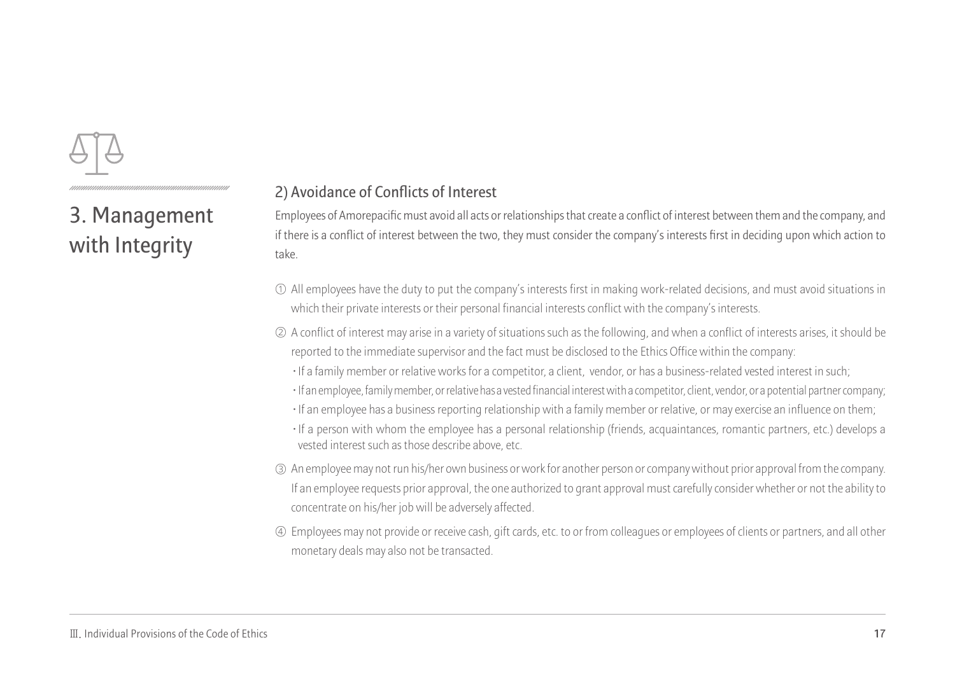

#### **2) Avoidance of Conflicts of Interest**

Employees of Amorepacific must avoid all acts or relationships that create a conflict of interest between them and the company, and if there is a conflict of interest between the two, they must consider the company's interests first in deciding upon which action to take.

- $\mathbb O$  All employees have the duty to put the company's interests first in making work-related decisions, and must avoid situations in which their private interests or their personal financial interests conflict with the company's interests.
- A conflict of interest may arise in a variety of situations such as the following, and when a conflict of interests arises, it should be ② reported to the immediate supervisor and the fact must be disclosed to the Ethics Office within the company:
	- **·**If a family member or relative works for a competitor, a client, vendor, or has a business-related vested interest in such;
	- **·**If an employee, family member, or relative has a vested financial interest with a competitor, client, vendor, or a potential partner company;
	- **·**If an employee has a business reporting relationship with a family member or relative, or may exercise an influence on them;
	- **·**If a person with whom the employee has a personal relationship (friends, acquaintances, romantic partners, etc.) develops a vested interest such as those describe above, etc.
- An employee may not run his/her own business or work for another person or company without prior approval from the company. ③ If an employee requests prior approval, the one authorized to grant approval must carefully consider whether or not the ability to concentrate on his/her job will be adversely affected.
- Employees may not provide or receive cash, gift cards, etc. to or from colleagues or employees of clients or partners, and all other ④ monetary deals may also not be transacted.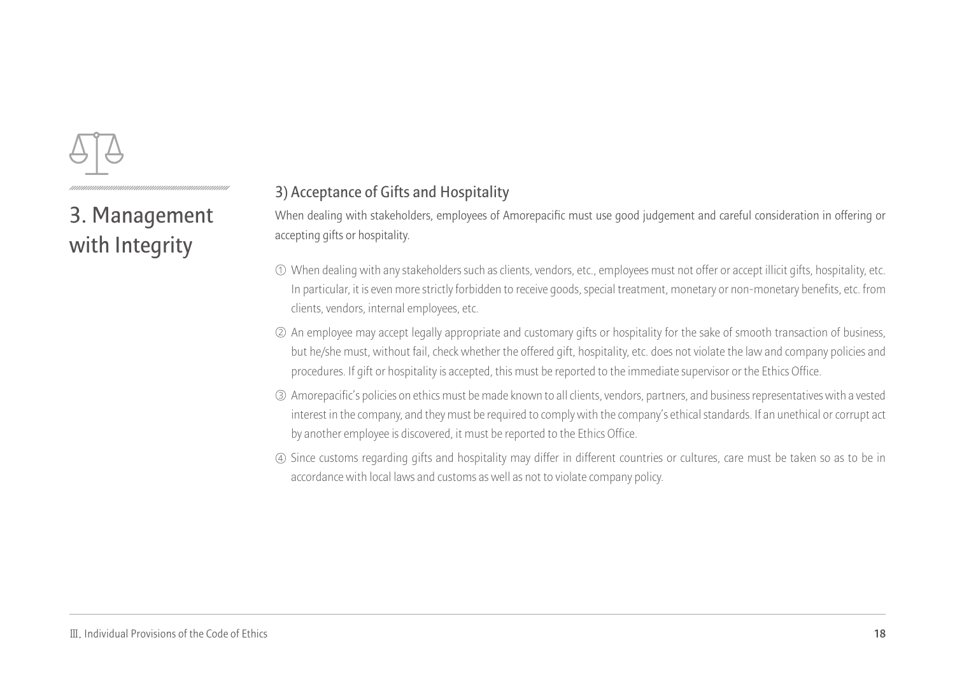

#### **3) Acceptance of Gifts and Hospitality**

When dealing with stakeholders, employees of Amorepacific must use good judgement and careful consideration in offering or accepting gifts or hospitality.

- When dealing with any stakeholders such as clients, vendors, etc., employees must not offer or accept illicit gifts, hospitality, etc. ① In particular, it is even more strictly forbidden to receive goods, special treatment, monetary or non-monetary benefits, etc. from clients, vendors, internal employees, etc.
- An employee may accept legally appropriate and customary gifts or hospitality for the sake of smooth transaction of business, ② but he/she must, without fail, check whether the offered gift, hospitality, etc. does not violate the law and company policies and procedures. If gift or hospitality is accepted, this must be reported to the immediate supervisor or the Ethics Office.
- Amorepacific's policies on ethics must be made known to all clients, vendors, partners, and business representatives with a vested ③ interest in the company, and they must be required to comply with the company's ethical standards. If an unethical or corrupt act by another employee is discovered, it must be reported to the Ethics Office.
- Since customs regarding gifts and hospitality may differ in different countries or cultures, care must be taken so as to be in ④ accordance with local laws and customs as well as not to violate company policy.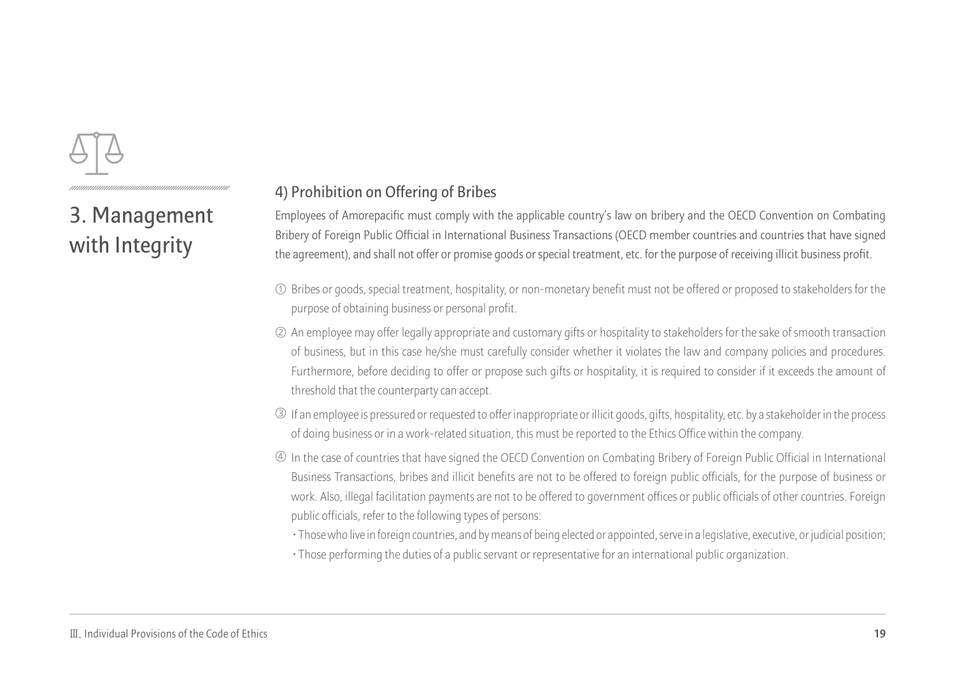

#### **4) Prohibition on Offering of Bribes**

Employees of Amorepacific must comply with the applicable country's law on bribery and the OECD Convention on Combating Bribery of Foreign Public Official in International Business Transactions (OECD member countries and countries that have signed the agreement), and shall not offer or promise goods or special treatment, etc. for the purpose of receiving illicit business profit.

- $\mathbb O$  Bribes or goods, special treatment, hospitality, or non-monetary benefit must not be offered or proposed to stakeholders for the purpose of obtaining business or personal profit.
- $\oslash$  An employee may offer legally appropriate and customary gifts or hospitality to stakeholders for the sake of smooth transaction  $\,$ of business, but in this case he/she must carefully consider whether it violates the law and company policies and procedures. Furthermore, before deciding to offer or propose such gifts or hospitality, it is required to consider if it exceeds the amount of threshold that the counterparty can accept.
- If an employee is pressured or requested to offer inappropriate or illicit goods, gifts, hospitality, etc. by a stakeholder in the process ③ of doing business or in a work-related situation, this must be reported to the Ethics Office within the company.
- $\oplus$  In the case of countries that have signed the OECD Convention on Combating Bribery of Foreign Public Official in International Business Transactions, bribes and illicit benefits are not to be offered to foreign public officials, for the purpose of business or work. Also, illegal facilitation payments are not to be offered to government offices or public officials of other countries. Foreign public officials, refer to the following types of persons:
	- **·**Those who live in foreign countries, and by means of being elected or appointed, serve in a legislative, executive, or judicial position;
	- **·**Those performing the duties of a public servant or representative for an international public organization.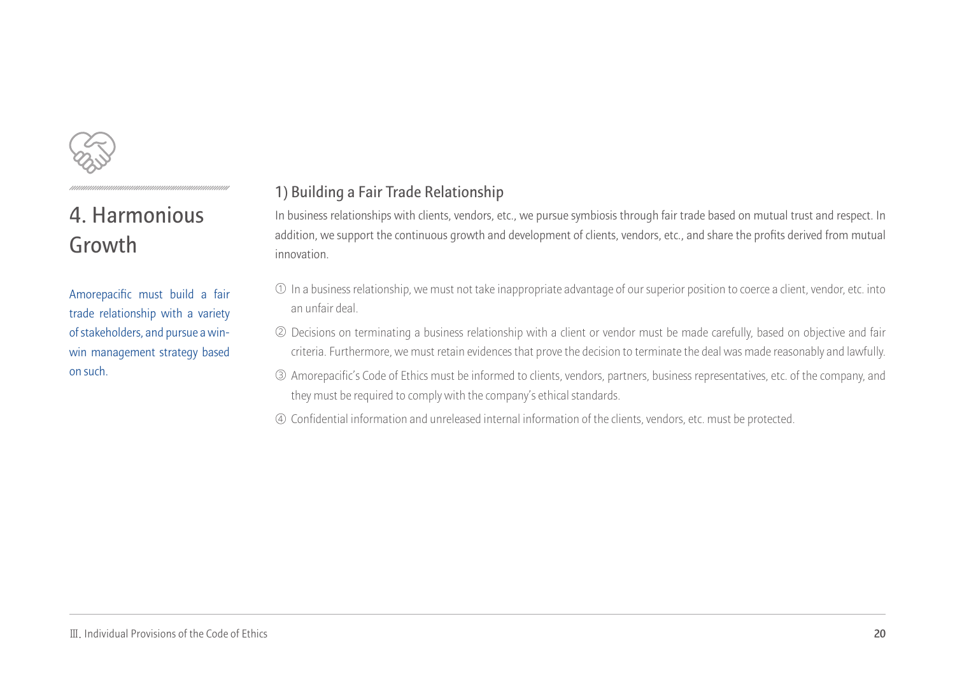

## **4. Harmonious Growth**

Amorepacific must build a fair trade relationship with a variety of stakeholders, and pursue a winwin management strategy based on such.

#### **1) Building a Fair Trade Relationship**

In business relationships with clients, vendors, etc., we pursue symbiosis through fair trade based on mutual trust and respect. In addition, we support the continuous growth and development of clients, vendors, etc., and share the profits derived from mutual innovation.

- In a business relationship, we must not take inappropriate advantage of our superior position to coerce a client, vendor, etc. into ① an unfair deal.
- Decisions on terminating a business relationship with a client or vendor must be made carefully, based on objective and fair ② criteria. Furthermore, we must retain evidences that prove the decision to terminate the deal was made reasonably and lawfully.
- Amorepacific's Code of Ethics must be informed to clients, vendors, partners, business representatives, etc. of the company, and ③ they must be required to comply with the company's ethical standards.
- Confidential information and unreleased internal information of the clients, vendors, etc. must be protected. ④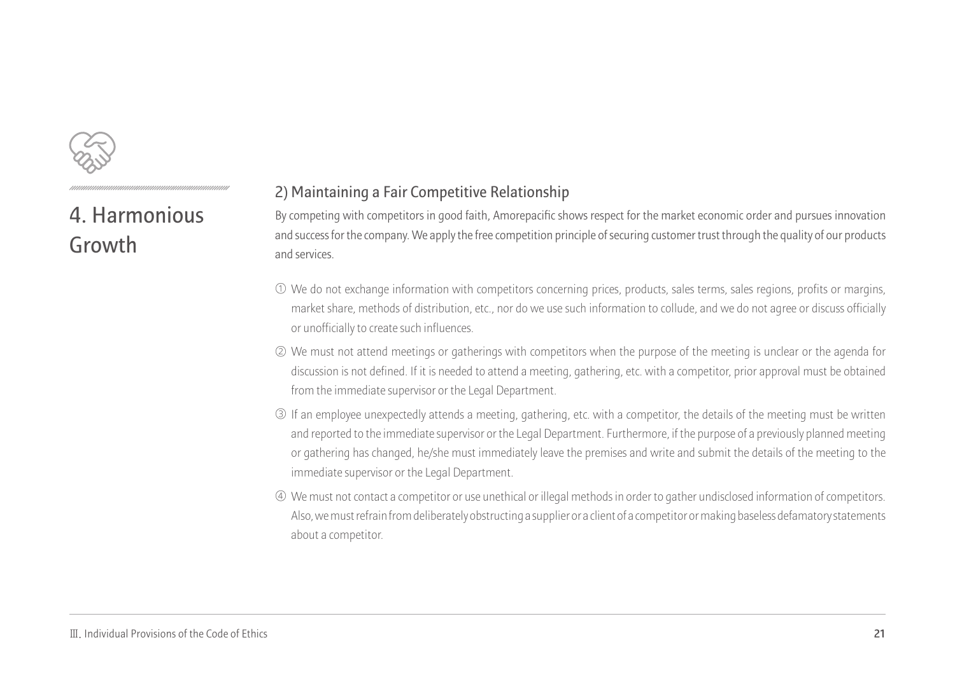

## **4. Harmonious Growth**

#### **2) Maintaining a Fair Competitive Relationship**

By competing with competitors in good faith, Amorepacific shows respect for the market economic order and pursues innovation and success for the company. We apply the free competition principle of securing customer trust through the quality of our products and services.

- We do not exchange information with competitors concerning prices, products, sales terms, sales regions, profits or margins, ① market share, methods of distribution, etc., nor do we use such information to collude, and we do not agree or discuss officially or unofficially to create such influences.
- We must not attend meetings or gatherings with competitors when the purpose of the meeting is unclear or the agenda for ② discussion is not defined. If it is needed to attend a meeting, gathering, etc. with a competitor, prior approval must be obtained from the immediate supervisor or the Legal Department.
- If an employee unexpectedly attends a meeting, gathering, etc. with a competitor, the details of the meeting must be written ③ and reported to the immediate supervisor or the Legal Department. Furthermore, if the purpose of a previously planned meeting or gathering has changed, he/she must immediately leave the premises and write and submit the details of the meeting to the immediate supervisor or the Legal Department.
- We must not contact a competitor or use unethical or illegal methods in order to gather undisclosed information of competitors. ④ Also, we must refrain from deliberately obstructing a supplier or a client of a competitor or making baseless defamatory statements about a competitor.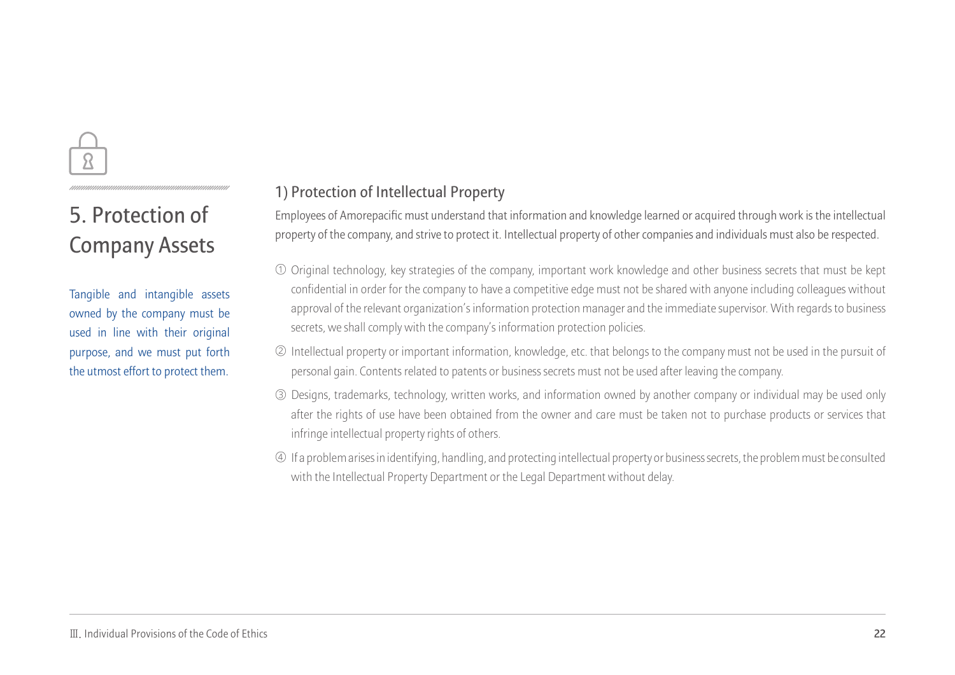

## **5. Protection of Company Assets**

Tangible and intangible assets owned by the company must be used in line with their original purpose, and we must put forth the utmost effort to protect them.

#### **1) Protection of Intellectual Property**

Employees of Amorepacific must understand that information and knowledge learned or acquired through work is the intellectual property of the company, and strive to protect it. Intellectual property of other companies and individuals must also be respected.

- Original technology, key strategies of the company, important work knowledge and other business secrets that must be kept ① confidential in order for the company to have a competitive edge must not be shared with anyone including colleagues without approval of the relevant organization's information protection manager and the immediate supervisor. With regards to business secrets, we shall comply with the company's information protection policies.
- $\oslash$  Intellectual property or important information, knowledge, etc. that belongs to the company must not be used in the pursuit of personal gain. Contents related to patents or business secrets must not be used after leaving the company.
- Designs, trademarks, technology, written works, and information owned by another company or individual may be used only ③ after the rights of use have been obtained from the owner and care must be taken not to purchase products or services that infringe intellectual property rights of others.
- If a problem arises in identifying, handling, and protecting intellectual property or business secrets, the problem must be consulted ④ with the Intellectual Property Department or the Legal Department without delay.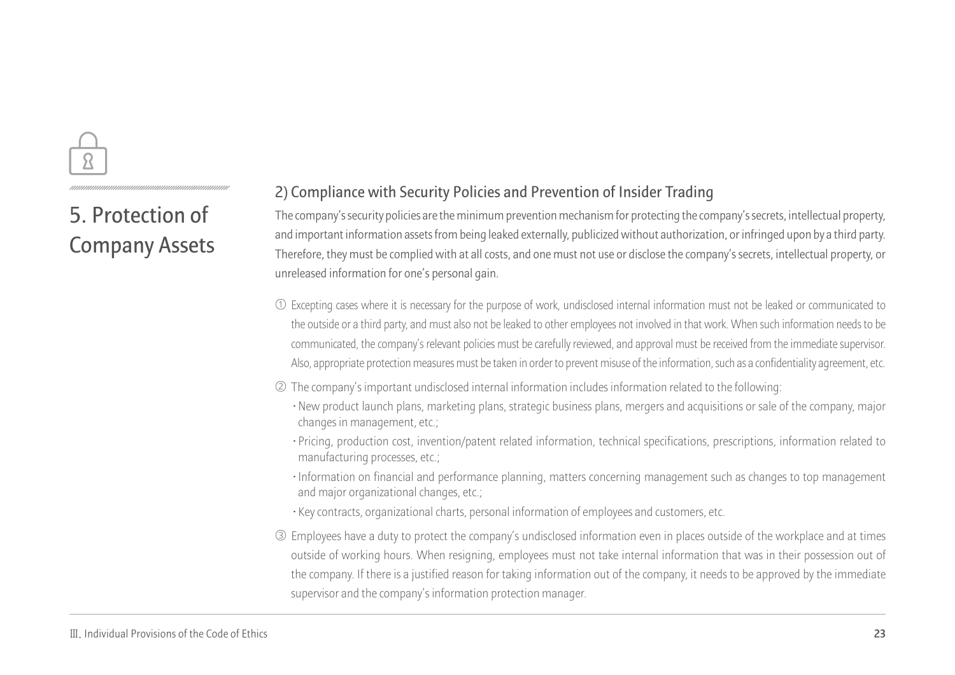## **5. Protection of Company Assets**

#### **2) Compliance with Security Policies and Prevention of Insider Trading**

The company's security policies are the minimum prevention mechanism for protecting the company's secrets, intellectual property, and important information assets from being leaked externally, publicized without authorization, or infringed upon by a third party. Therefore, they must be complied with at all costs, and one must not use or disclose the company's secrets, intellectual property, or unreleased information for one's personal gain.

- Excepting cases where it is necessary for the purpose of work, undisclosed internal information must not be leaked or communicated to ① the outside or a third party, and must also not be leaked to other employees not involved in that work. When such information needs to be communicated, the company's relevant policies must be carefully reviewed, and approval must be received from the immediate supervisor. Also, appropriate protection measures must be taken in order to prevent misuse of the information, such as a confidentiality agreement, etc.
- The company's important undisclosed internal information includes information related to the following: ②
	- **·**New product launch plans, marketing plans, strategic business plans, mergers and acquisitions or sale of the company, major changes in management, etc.;
	- **·**Pricing, production cost, invention/patent related information, technical specifications, prescriptions, information related to manufacturing processes, etc.;
	- **·**Information on financial and performance planning, matters concerning management such as changes to top management and major organizational changes, etc.;
	- **·**Key contracts, organizational charts, personal information of employees and customers, etc.
- Employees have a duty to protect the company's undisclosed information even in places outside of the workplace and at times ③ outside of working hours. When resigning, employees must not take internal information that was in their possession out of the company. If there is a justified reason for taking information out of the company, it needs to be approved by the immediate supervisor and the company's information protection manager.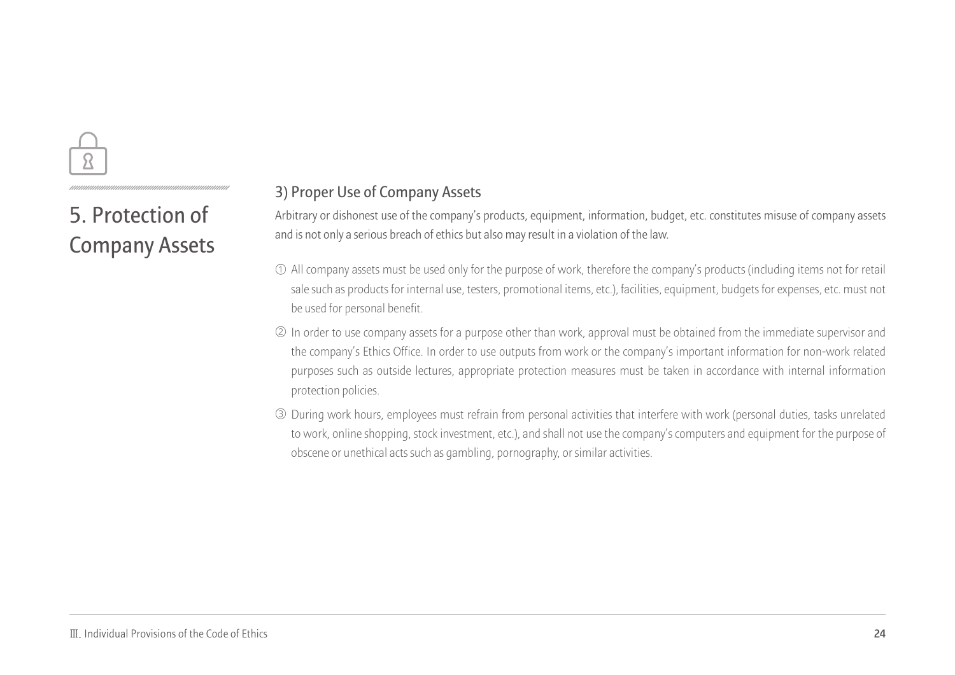

**5. Protection of Company Assets**

#### **3) Proper Use of Company Assets**

Arbitrary or dishonest use of the company's products, equipment, information, budget, etc. constitutes misuse of company assets and is not only a serious breach of ethics but also may result in a violation of the law.

- $\mathbb U$  All company assets must be used only for the purpose of work, therefore the company's products (including items not for retail  $\,$ sale such as products for internal use, testers, promotional items, etc.), facilities, equipment, budgets for expenses, etc. must not be used for personal benefit.
- ② In order to use company assets for a purpose other than work, approval must be obtained from the immediate supervisor and the company's Ethics Office. In order to use outputs from work or the company's important information for non-work related purposes such as outside lectures, appropriate protection measures must be taken in accordance with internal information protection policies.
- During work hours, employees must refrain from personal activities that interfere with work (personal duties, tasks unrelated ③ to work, online shopping, stock investment, etc.), and shall not use the company's computers and equipment for the purpose of obscene or unethical acts such as gambling, pornography, or similar activities.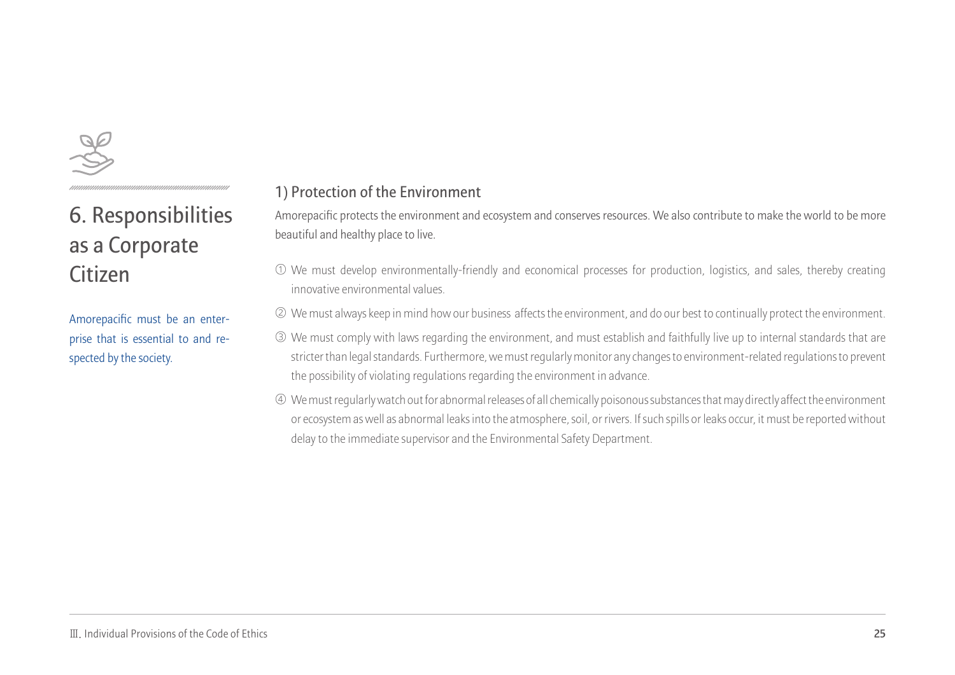

Amorepacific must be an enterprise that is essential to and respected by the society.

#### **1) Protection of the Environment**

Amorepacific protects the environment and ecosystem and conserves resources. We also contribute to make the world to be more beautiful and healthy place to live.

- We must develop environmentally-friendly and economical processes for production, logistics, and sales, thereby creating ① innovative environmental values.
- We must always keep in mind how our business affects the environment, and do our best to continually protect the environment. ②
- We must comply with laws regarding the environment, and must establish and faithfully live up to internal standards that are ③ stricter than legal standards. Furthermore, we must regularly monitor any changes to environment-related regulations to prevent the possibility of violating regulations regarding the environment in advance.
- We must regularly watch out for abnormal releases of all chemically poisonous substances that may directly affect the environment ④ or ecosystem as well as abnormal leaks into the atmosphere, soil, or rivers. If such spills or leaks occur, it must be reported without delay to the immediate supervisor and the Environmental Safety Department.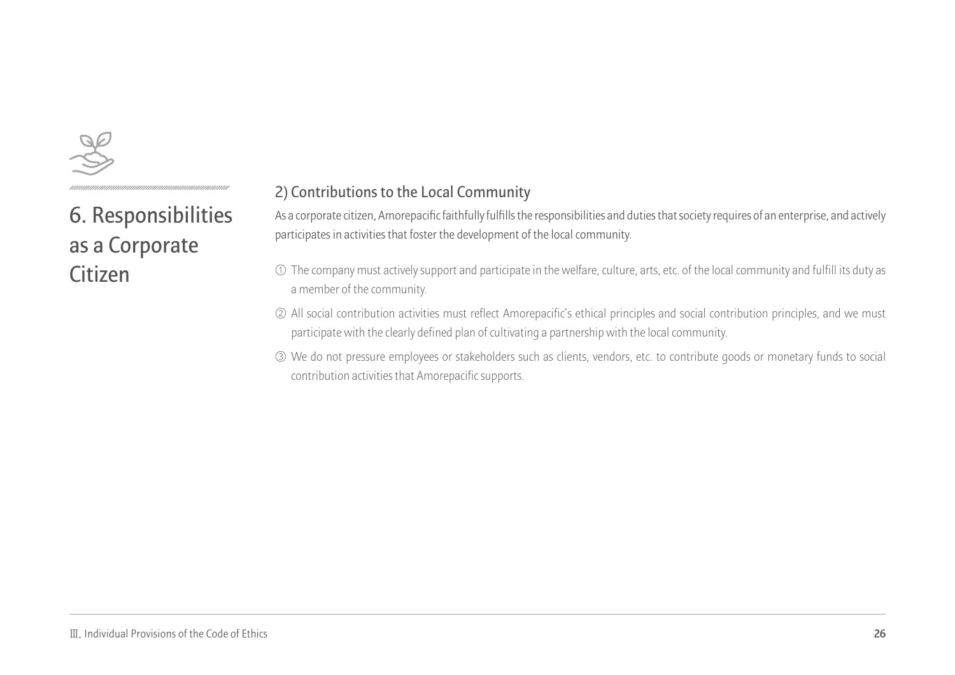

### **2) Contributions to the Local Community**

As a corporate citizen, Amorepacific faithfully fulfills the responsibilities and duties that society requires of an enterprise, and actively participates in activities that foster the development of the local community.

- $\mathbb O$  The company must actively support and participate in the welfare, culture, arts, etc. of the local community and fulfill its duty as a member of the community.
- All social contribution activities must reflect Amorepacific's ethical principles and social contribution principles, and we must ② participate with the clearly defined plan of cultivating a partnership with the local community.
- We do not pressure employees or stakeholders such as clients, vendors, etc. to contribute goods or monetary funds to social ③ contribution activities that Amorepacific supports.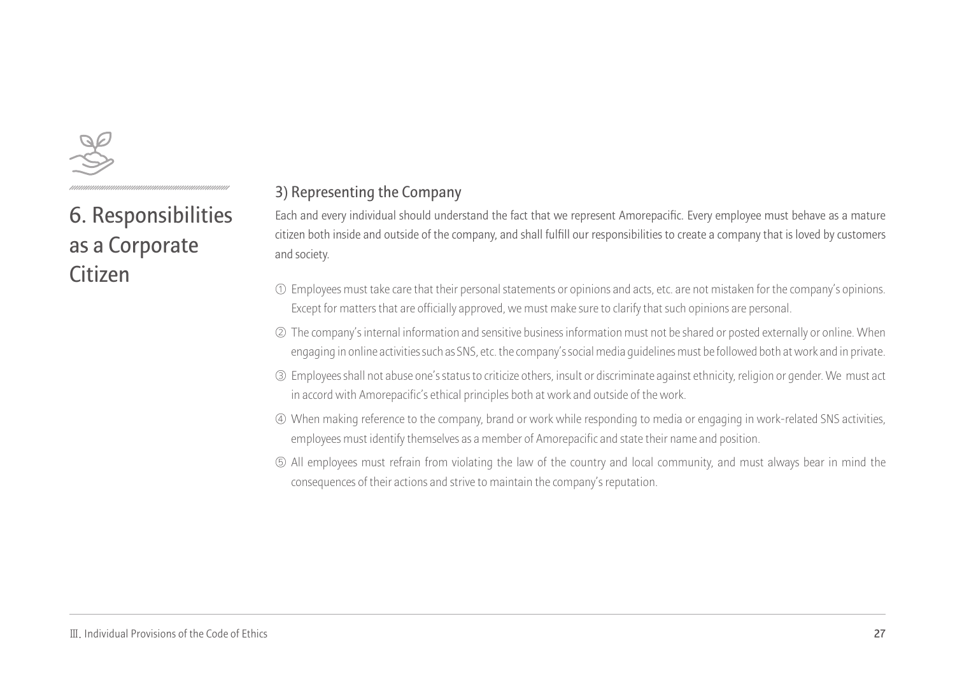

#### **3) Representing the Company**

Each and every individual should understand the fact that we represent Amorepacific. Every employee must behave as a mature citizen both inside and outside of the company, and shall fulfill our responsibilities to create a company that is loved by customers and society.

- $\mathbb O$  Employees must take care that their personal statements or opinions and acts, etc. are not mistaken for the company's opinions. Except for matters that are officially approved, we must make sure to clarify that such opinions are personal.
- The company's internal information and sensitive business information must not be shared or posted externally or online. When ② engaging in online activities such as SNS, etc. the company's social media guidelines must be followed both at work and in private.
- Employees shall not abuse one's status to criticize others, insult or discriminate against ethnicity, religion or gender. We must act ③ in accord with Amorepacific's ethical principles both at work and outside of the work.
- When making reference to the company, brand or work while responding to media or engaging in work-related SNS activities, ④ employees must identify themselves as a member of Amorepacific and state their name and position.
- All employees must refrain from violating the law of the country and local community, and must always bear in mind the ⑤ consequences of their actions and strive to maintain the company's reputation.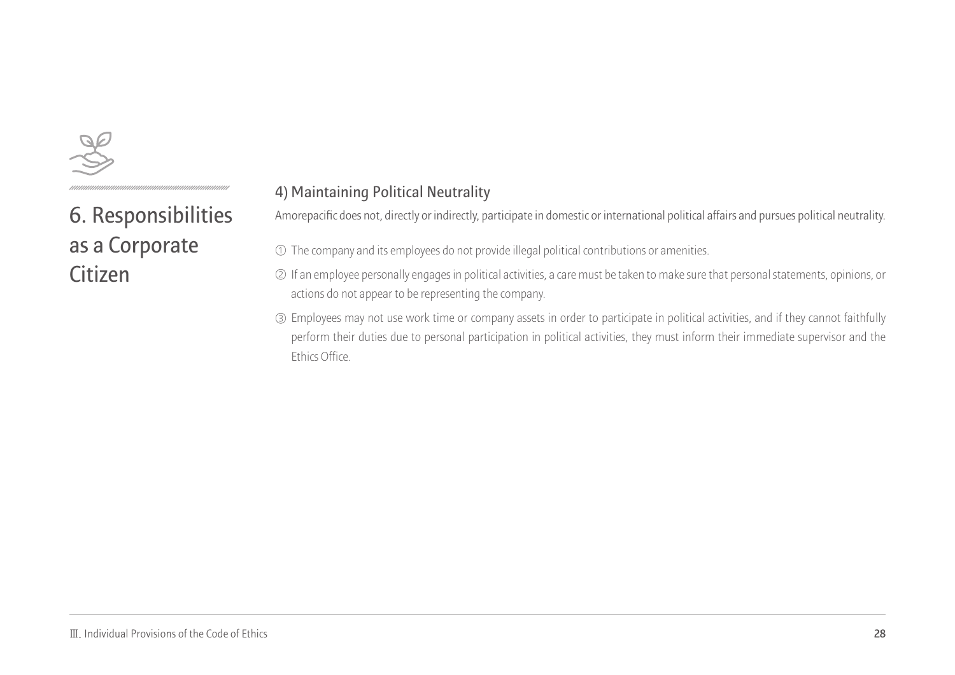

#### **4) Maintaining Political Neutrality**

Amorepacific does not, directly or indirectly, participate in domestic or international political affairs and pursues political neutrality.

- $\mathbb O$  The company and its employees do not provide illegal political contributions or amenities.
- $\oslash$  If an employee personally engages in political activities, a care must be taken to make sure that personal statements, opinions, or actions do not appear to be representing the company.
- Employees may not use work time or company assets in order to participate in political activities, and if they cannot faithfully ③ perform their duties due to personal participation in political activities, they must inform their immediate supervisor and the Ethics Office.